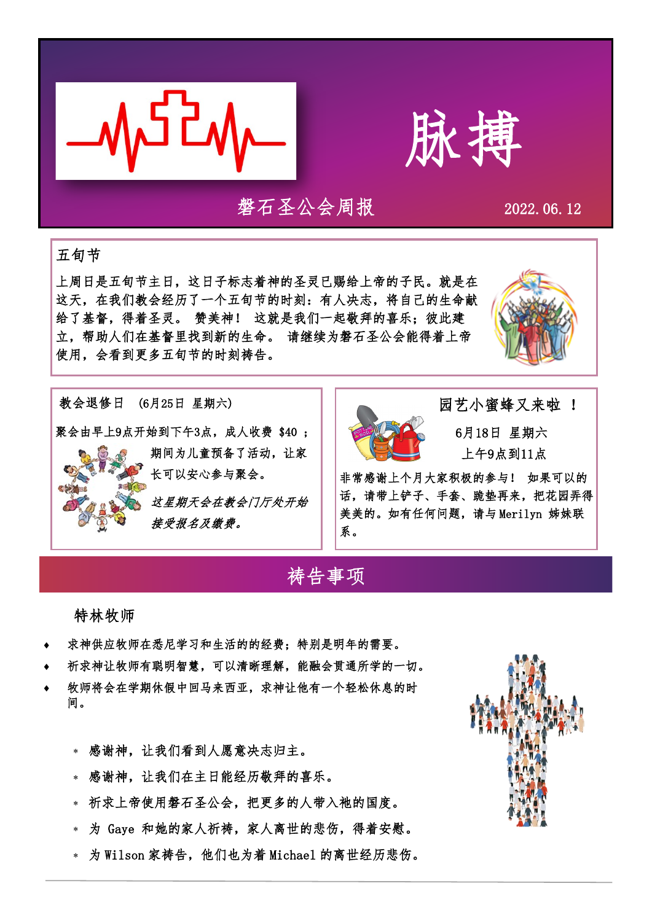



### 磐石圣公会周报 2022.06.12

#### 五旬节

上周日是五旬节主日,这日子标志着神的圣灵已赐给上帝的子民。就是在 这天,在我们教会经历了一个五旬节的时刻:有人决志,将自己的生命献 给了基督,得着圣灵。 赞美神! 这就是我们一起敬拜的喜乐;彼此建 立,帮助人们在基督里找到新的生命。 请继续为磐石圣公会能得着上帝 使用,会看到更多五旬节的时刻祷告。







 园艺小蜜蜂又来啦 ! 6月18日 星期六 上午9点到11点

非常感谢上个月大家积极的参与! 如果可以的 话,请带上铲子、手套、跪垫再来,把花园弄得 美美的。如有任何问题,请与 Merilyn 姊妹联 系。

## 祷告事项

特林牧师

- 求神供应牧师在悉尼学习和生活的的经费;特别是明年的需要。
- 祈求神让牧师有聪明智慧,可以清晰理解,能融会贯通所学的一切。
- 牧师将会在学期休假中回马来西亚,求神让他有一个轻松休息的时 间。
	- 感谢神,让我们看到人愿意决志归主。
	- 感谢神,让我们在主日能经历敬拜的喜乐。
	- 祈求上帝使用磐石圣公会,把更多的人带入祂的国度。
	- 为 Gaye 和她的家人祈祷,家人离世的悲伤,得着安慰。
	- 为 Wilson 家祷告,他们也为着 Michael 的离世经历悲伤。